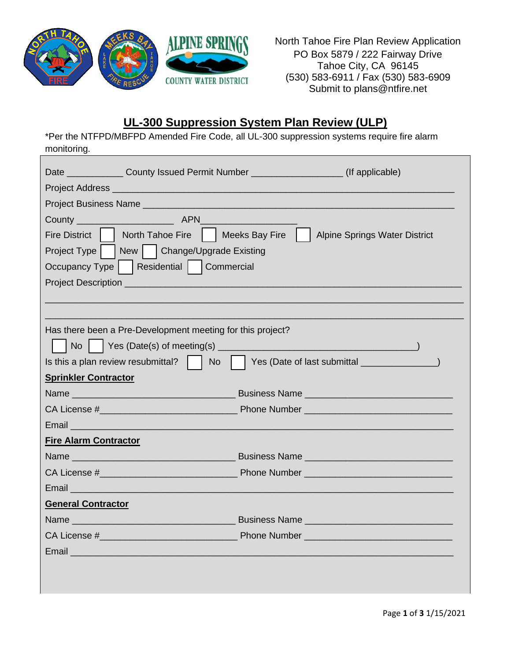

North Tahoe Fire Plan Review Application PO Box 5879 / 222 Fairway Drive Tahoe City, CA 96145 (530) 583-6911 / Fax (530) 583-6909 Submit to plans@ntfire.net

## **UL-300 Suppression System Plan Review (ULP)**

\*Per the NTFPD/MBFPD Amended Fire Code, all UL-300 suppression systems require fire alarm monitoring.

| Date _______________County Issued Permit Number _____________________(If applicable)                                                                                                  |                                            |  |
|---------------------------------------------------------------------------------------------------------------------------------------------------------------------------------------|--------------------------------------------|--|
|                                                                                                                                                                                       |                                            |  |
|                                                                                                                                                                                       |                                            |  |
| County <b>County County County County County County COUNTY COUNTY COUNTY COUNTY COUNTY COUNTY COUNTY COUNTY COUNTY COUNTY COUNTY COUNTY COUNTY COUNTY COUNTY COUNTY COUNTY COUNTY</b> |                                            |  |
| Fire District   North Tahoe Fire   Neeks Bay Fire                                                                                                                                     | <b>Alpine Springs Water District</b>       |  |
| Project Type     New     Change/Upgrade Existing                                                                                                                                      |                                            |  |
| Occupancy Type   Residential   Commercial                                                                                                                                             |                                            |  |
|                                                                                                                                                                                       |                                            |  |
|                                                                                                                                                                                       |                                            |  |
|                                                                                                                                                                                       |                                            |  |
| Has there been a Pre-Development meeting for this project?                                                                                                                            |                                            |  |
|                                                                                                                                                                                       |                                            |  |
| Is this a plan review resubmittal? $\parallel$ No                                                                                                                                     | $\vert$ Yes (Date of last submittal $\_\_$ |  |
| <b>Sprinkler Contractor</b>                                                                                                                                                           |                                            |  |
|                                                                                                                                                                                       |                                            |  |
|                                                                                                                                                                                       |                                            |  |
| Email <b>Email Example 2014</b>                                                                                                                                                       |                                            |  |
| <b>Fire Alarm Contractor</b>                                                                                                                                                          |                                            |  |
|                                                                                                                                                                                       |                                            |  |
|                                                                                                                                                                                       |                                            |  |
| Email <b>Email</b>                                                                                                                                                                    |                                            |  |
| <b>General Contractor</b>                                                                                                                                                             |                                            |  |
|                                                                                                                                                                                       |                                            |  |
|                                                                                                                                                                                       |                                            |  |
| Email and the contract of the contract of the contract of the contract of the contract of the contract of the                                                                         |                                            |  |
|                                                                                                                                                                                       |                                            |  |
|                                                                                                                                                                                       |                                            |  |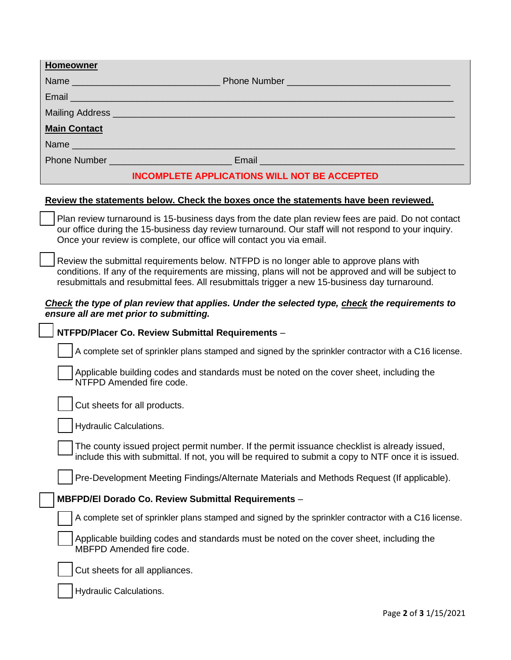| <b>Homeowner</b>                                                                                                                                                                                                                                                                   |                                                                                                                                                                                                                               |  |
|------------------------------------------------------------------------------------------------------------------------------------------------------------------------------------------------------------------------------------------------------------------------------------|-------------------------------------------------------------------------------------------------------------------------------------------------------------------------------------------------------------------------------|--|
|                                                                                                                                                                                                                                                                                    |                                                                                                                                                                                                                               |  |
|                                                                                                                                                                                                                                                                                    | Email et al. 2003 - Construction and Construction and Construction and Construction and Construction and Const                                                                                                                |  |
|                                                                                                                                                                                                                                                                                    | Mailing Address <b>Mailing Address Mailing Address Mailing Address Mailing Address</b>                                                                                                                                        |  |
| <b>Main Contact</b>                                                                                                                                                                                                                                                                |                                                                                                                                                                                                                               |  |
|                                                                                                                                                                                                                                                                                    | Name Name and the state of the state of the state of the state of the state of the state of the state of the state of the state of the state of the state of the state of the state of the state of the state of the state of |  |
|                                                                                                                                                                                                                                                                                    |                                                                                                                                                                                                                               |  |
| <b>INCOMPLETE APPLICATIONS WILL NOT BE ACCEPTED</b>                                                                                                                                                                                                                                |                                                                                                                                                                                                                               |  |
| Review the statements below. Check the boxes once the statements have been reviewed.                                                                                                                                                                                               |                                                                                                                                                                                                                               |  |
| Plan review turnaround is 15-business days from the date plan review fees are paid. Do not contact<br>our office during the 15-business day review turnaround. Our staff will not respond to your inquiry.<br>Once your review is complete, our office will contact you via email. |                                                                                                                                                                                                                               |  |
|                                                                                                                                                                                                                                                                                    |                                                                                                                                                                                                                               |  |

Review the submittal requirements below. NTFPD is no longer able to approve plans with conditions. If any of the requirements are missing, plans will not be approved and will be subject to resubmittals and resubmittal fees. All resubmittals trigger a new 15-business day turnaround.

## *Check the type of plan review that applies. Under the selected type, check the requirements to ensure all are met prior to submitting.*

## **NTFPD/Placer Co. Review Submittal Requirements** –

A complete set of sprinkler plans stamped and signed by the sprinkler contractor with a C16 license.

Applicable building codes and standards must be noted on the cover sheet, including the NTFPD Amended fire code.

Cut sheets for all products.

Hydraulic Calculations.

The county issued project permit number. If the permit issuance checklist is already issued, include this with submittal. If not, you will be required to submit a copy to NTF once it is issued.

Pre-Development Meeting Findings/Alternate Materials and Methods Request (If applicable).

## **MBFPD/El Dorado Co. Review Submittal Requirements** –

A complete set of sprinkler plans stamped and signed by the sprinkler contractor with a C16 license.

Applicable building codes and standards must be noted on the cover sheet, including the MBFPD Amended fire code.



Hydraulic Calculations.